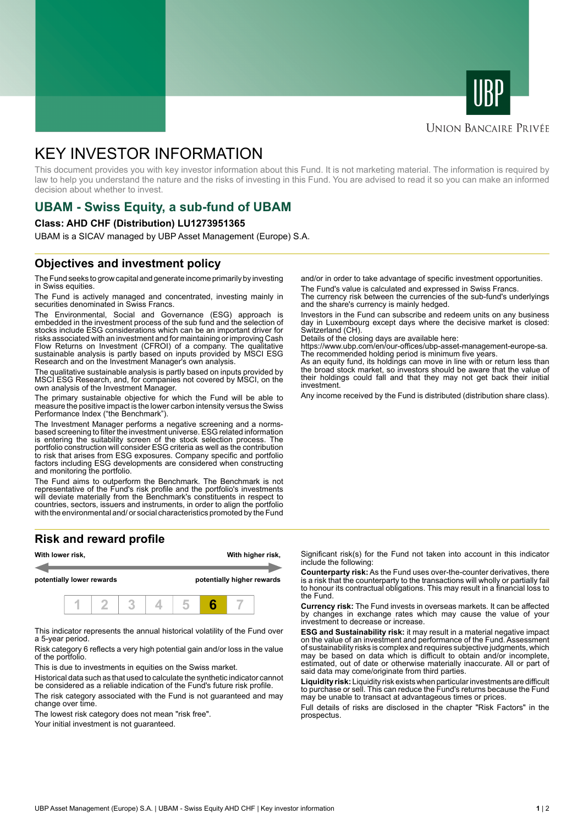



#### **UNION BANCAIRE PRIVÉE**

# KEY INVESTOR INFORMATION

This document provides you with key investor information about this Fund. It is not marketing material. The information is required by law to help you understand the nature and the risks of investing in this Fund. You are advised to read it so you can make an informed decision about whether to invest.

# **UBAM - Swiss Equity, a sub-fund of UBAM**

#### **Class: AHD CHF (Distribution) LU1273951365**

UBAM is a SICAV managed by UBP Asset Management (Europe) S.A.

### **Objectives and investment policy**

The Fund seeks to grow capital and generate income primarily by investing in Swiss equities.

The Fund is actively managed and concentrated, investing mainly in securities denominated in Swiss Francs.

The Environmental, Social and Governance (ESG) approach is embedded in the investment process of the sub fund and the selection of stocks include ESG considerations which can be an important driver for risks associated with an investment and for maintaining or improving Cash Flow Returns on Investment (CFROI) of a company. The qualitative sustainable analysis is partly based on inputs provided by MSCI ESG Research and on the Investment Manager's own analysis.

The qualitative sustainable analysis is partly based on inputs provided by MSCI ESG Research, and, for companies not covered by MSCI, on the own analysis of the Investment Manager.

The primary sustainable objective for which the Fund will be able to measure the positive impact is the lower carbon intensity versus the Swiss Performance Index ("the Benchmark").

The Investment Manager performs a negative screening and a normsbased screening to filter the investment universe. ESG related information is entering the suitability screen of the stock selection process. The portfolio construction will consider ESG criteria as well as the contribution to risk that arises from ESG exposures. Company specific and portfolio factors including ESG developments are considered when constructing and monitoring the portfolio.

The Fund aims to outperform the Benchmark. The Benchmark is not representative of the Fund's risk profile and the portfolio's investments will deviate materially from the Benchmark's constituents in respect to countries, sectors, issuers and instruments, in order to align the portfolio with the environmental and/ or social characteristics promoted by the Fund

## **Risk and reward profile**



This indicator represents the annual historical volatility of the Fund over a 5-year period.

Risk category 6 reflects a very high potential gain and/or loss in the value of the portfolio.

This is due to investments in equities on the Swiss market.

Historical data such as that used to calculate the synthetic indicator cannot be considered as a reliable indication of the Fund's future risk profile. The risk category associated with the Fund is not guaranteed and may change over time.

The lowest risk category does not mean "risk free".

Your initial investment is not guaranteed.

and/or in order to take advantage of specific investment opportunities.

The Fund's value is calculated and expressed in Swiss Francs. The currency risk between the currencies of the sub-fund's underlyings and the share's currency is mainly hedged.

Investors in the Fund can subscribe and redeem units on any business day in Luxembourg except days where the decisive market is closed: Switzerland (CH).

Details of the closing days are available here:

https://www.ubp.com/en/our-offices/ubp-asset-management-europe-sa. The recommended holding period is minimum five years.

As an equity fund, its holdings can move in line with or return less than the broad stock market, so investors should be aware that the value of their holdings could fall and that they may not get back their initial investment.

Any income received by the Fund is distributed (distribution share class).

Significant risk(s) for the Fund not taken into account in this indicator include the following:

**Counterparty risk:** As the Fund uses over-the-counter derivatives, there is a risk that the counterparty to the transactions will wholly or partially fail to honour its contractual obligations. This may result in a financial loss to the Fund.

**Currency risk:** The Fund invests in overseas markets. It can be affected by changes in exchange rates which may cause the value of your investment to decrease or increase.

**ESG and Sustainability risk:** it may result in a material negative impact on the value of an investment and performance of the Fund. Assessment of sustainability risks is complex and requires subjective judgments, which may be based on data which is difficult to obtain and/or incomplete, estimated, out of date or otherwise materially inaccurate. All or part of said data may come/originate from third parties.

**Liquidity risk:** Liquidity risk exists when particular investments are difficult to purchase or sell. This can reduce the Fund's returns because the Fund may be unable to transact at advantageous times or prices.

Full details of risks are disclosed in the chapter "Risk Factors" in the prospectus.